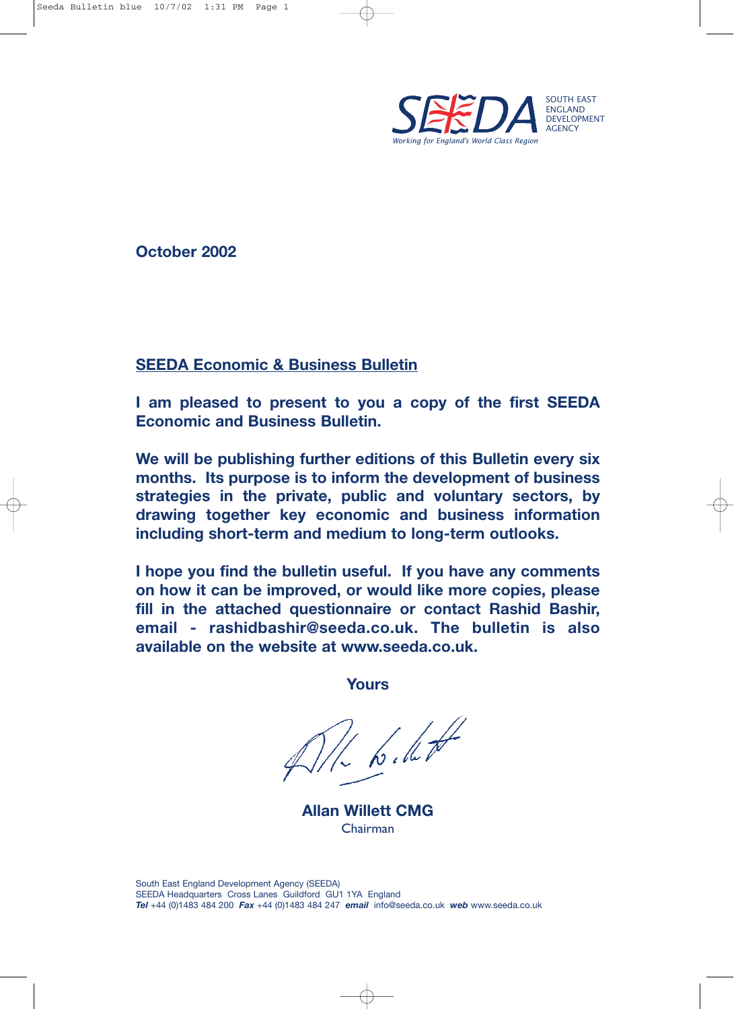

**October 2002**

### **SEEDA Economic & Business Bulletin**

**I am pleased to present to you a copy of the first SEEDA Economic and Business Bulletin.**

**We will be publishing further editions of this Bulletin every six months. Its purpose is to inform the development of business strategies in the private, public and voluntary sectors, by drawing together key economic and business information including short-term and medium to long-term outlooks.**

**I hope you find the bulletin useful. If you have any comments on how it can be improved, or would like more copies, please fill in the attached questionnaire or contact Rashid Bashir, email - rashidbashir@seeda.co.uk. The bulletin is also available on the website at www.seeda.co.uk.**

**Yours**

to the

**Allan Willett CMG** Chairman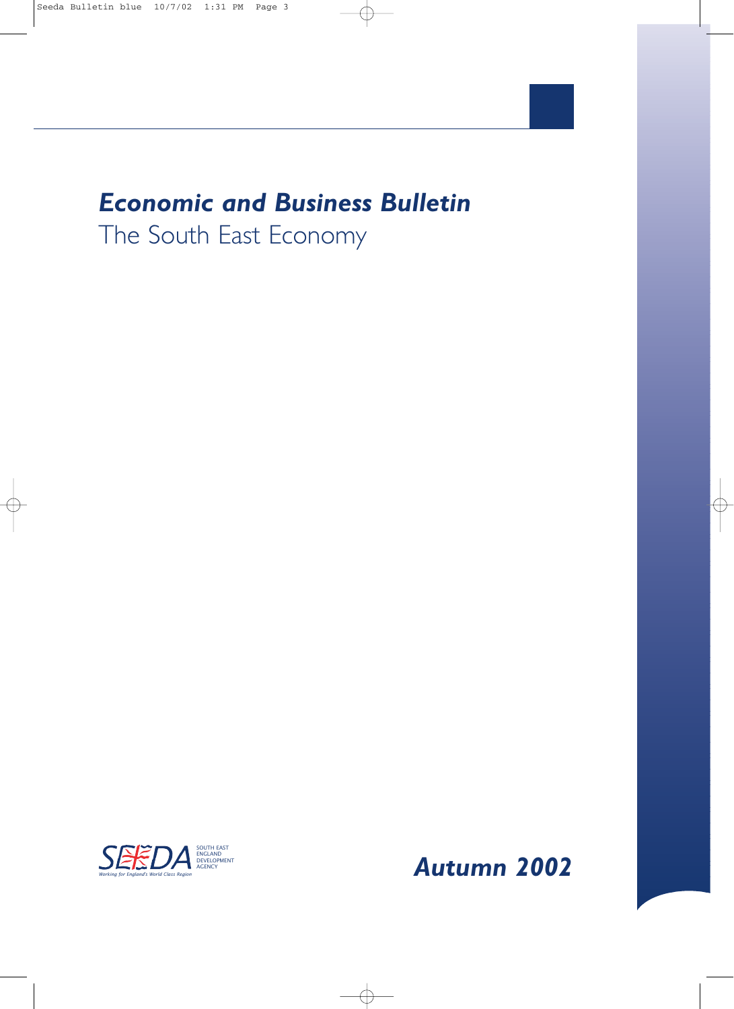# *Economic and Business Bulletin* The South East Economy

ENGLAND DEVELOPMENT AGENCY

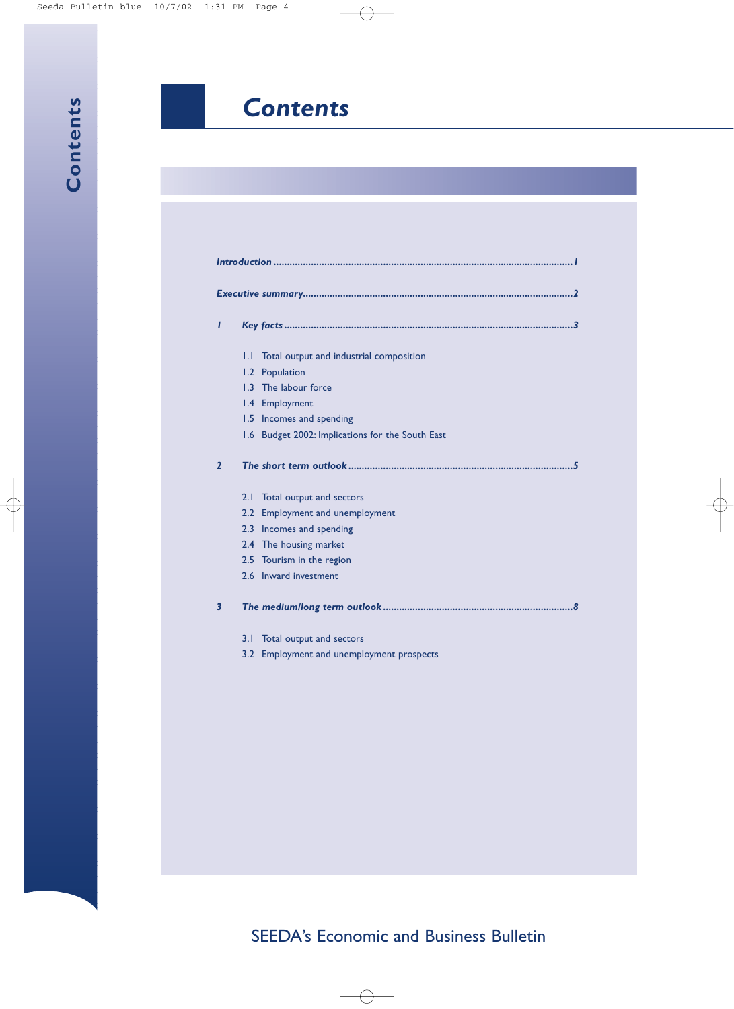## *Contents*

| I              |     |                                              |
|----------------|-----|----------------------------------------------|
|                |     |                                              |
|                | IJ  | Total output and industrial composition      |
|                | 1.2 | Population                                   |
|                | 1.3 | The labour force                             |
|                |     | 1.4 Employment                               |
|                |     | 1.5 Incomes and spending                     |
|                | 1.6 | Budget 2002: Implications for the South East |
| $\overline{2}$ |     |                                              |
|                | 2.1 | Total output and sectors                     |
|                | 2.2 | <b>Employment and unemployment</b>           |
|                | 2.3 | Incomes and spending                         |
|                |     | 2.4 The housing market                       |
|                |     | 2.5 Tourism in the region                    |
|                |     | 2.6 Inward investment                        |
| 3              |     |                                              |
|                | 3.1 | Total output and sectors                     |
|                | 3.2 | Employment and unemployment prospects        |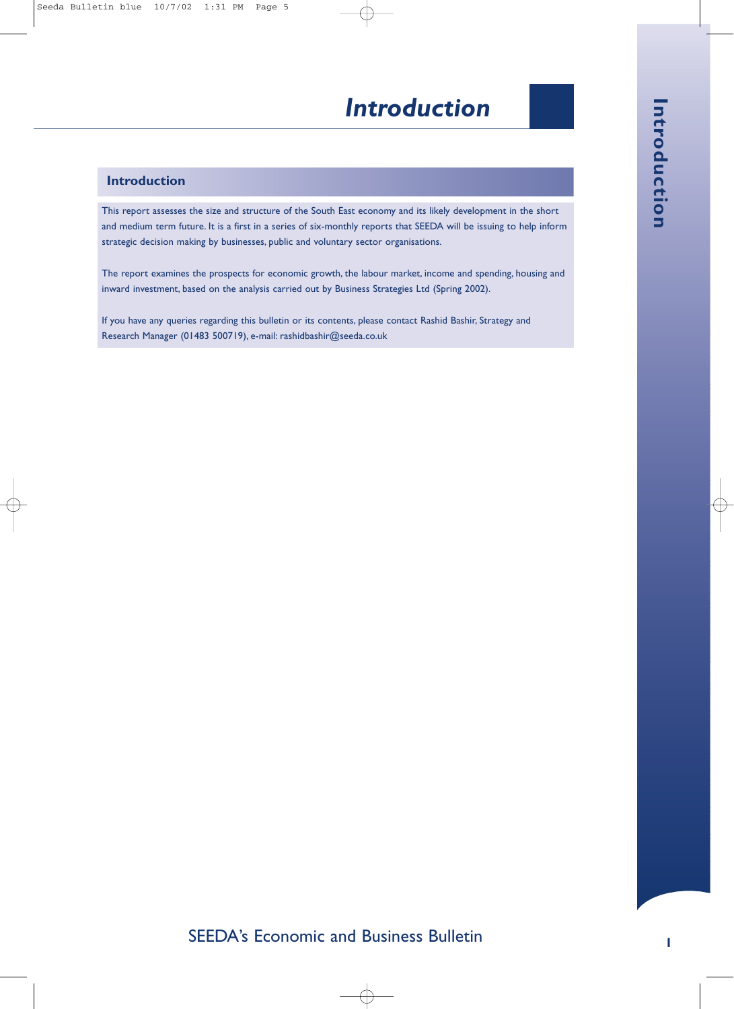## *Introduction*

#### **Introduction**

This report assesses the size and structure of the South East economy and its likely development in the short and medium term future. It is a first in a series of six-monthly reports that SEEDA will be issuing to help inform strategic decision making by businesses, public and voluntary sector organisations.

The report examines the prospects for economic growth, the labour market, income and spending, housing and inward investment, based on the analysis carried out by Business Strategies Ltd (Spring 2002).

If you have any queries regarding this bulletin or its contents, please contact Rashid Bashir, Strategy and Research Manager (01483 500719), e-mail: rashidbashir@seeda.co.uk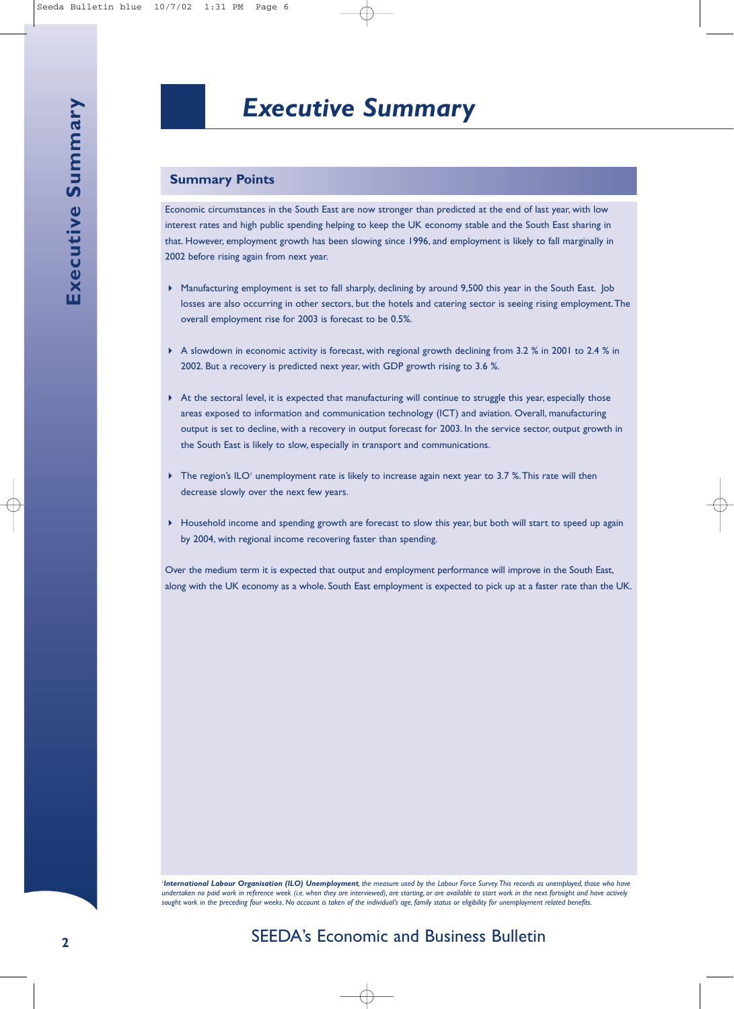#### **Summary Points**

Economic circumstances in the South East are now stronger than predicted at the end of last year, with low interest rates and high public spending helping to keep the UK economy stable and the South East sharing in that. However, employment growth has been slowing since 1996, and employment is likely to fall marginally in 2002 before rising again from next year.

- ▶ Manufacturing employment is set to fall sharply, declining by around 9,500 this year in the South East. Job losses are also occurring in other sectors, but the hotels and catering sector is seeing rising employment.The overall employment rise for 2003 is forecast to be 0.5%.
- ▶ A slowdown in economic activity is forecast, with regional growth declining from 3.2 % in 2001 to 2.4 % in 2002. But a recovery is predicted next year, with GDP growth rising to 3.6 %.
- At the sectoral level, it is expected that manufacturing will continue to struggle this year, especially those areas exposed to information and communication technology (ICT) and aviation. Overall, manufacturing output is set to decline, with a recovery in output forecast for 2003. In the service sector, output growth in the South East is likely to slow, especially in transport and communications.
- The region's ILO<sup>1</sup> unemployment rate is likely to increase again next year to 3.7 %. This rate will then decrease slowly over the next few years.
- $\blacktriangleright$  Household income and spending growth are forecast to slow this year, but both will start to speed up again by 2004, with regional income recovering faster than spending.

Over the medium term it is expected that output and employment performance will improve in the South East, along with the UK economy as a whole. South East employment is expected to pick up at a faster rate than the UK.

1 *International Labour Organisation (ILO) Unemployment, the measure used by the Labour Force Survey.This records as unemployed, those who have undertaken no paid work in reference week (i.e. when they are interviewed), are starting, or are available to start work in the next fortnight and have actively sought work in the preceding four weeks. No account is taken of the individual's age, family status or eligibility for unemployment related benefits.*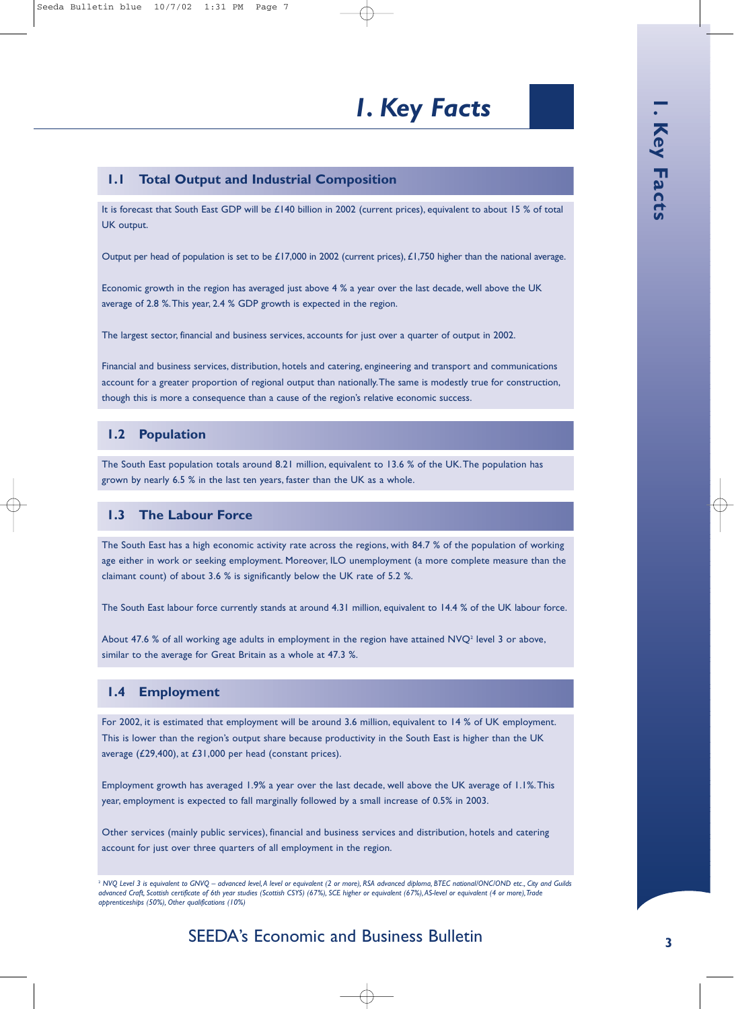# *1. Key Facts*

#### **1.1 Total Output and Industrial Composition**

It is forecast that South East GDP will be £140 billion in 2002 (current prices), equivalent to about 15 % of total UK output.

Output per head of population is set to be £17,000 in 2002 (current prices), £1,750 higher than the national average.

Economic growth in the region has averaged just above 4 % a year over the last decade, well above the UK average of 2.8 %.This year, 2.4 % GDP growth is expected in the region.

The largest sector, financial and business services, accounts for just over a quarter of output in 2002.

Financial and business services, distribution, hotels and catering, engineering and transport and communications account for a greater proportion of regional output than nationally.The same is modestly true for construction, though this is more a consequence than a cause of the region's relative economic success.

#### **1.2 Population**

The South East population totals around 8.21 million, equivalent to 13.6 % of the UK.The population has grown by nearly 6.5 % in the last ten years, faster than the UK as a whole.

#### **1.3 The Labour Force**

The South East has a high economic activity rate across the regions, with 84.7 % of the population of working age either in work or seeking employment. Moreover, ILO unemployment (a more complete measure than the claimant count) of about 3.6 % is significantly below the UK rate of 5.2 %.

The South East labour force currently stands at around 4.31 million, equivalent to 14.4 % of the UK labour force.

About 47.6 % of all working age adults in employment in the region have attained  $NVO<sup>2</sup>$  level 3 or above, similar to the average for Great Britain as a whole at 47.3 %.

#### **1.4 Employment**

For 2002, it is estimated that employment will be around 3.6 million, equivalent to 14 % of UK employment. This is lower than the region's output share because productivity in the South East is higher than the UK average (£29,400), at £31,000 per head (constant prices).

Employment growth has averaged 1.9% a year over the last decade, well above the UK average of 1.1%.This year, employment is expected to fall marginally followed by a small increase of 0.5% in 2003.

Other services (mainly public services), financial and business services and distribution, hotels and catering account for just over three quarters of all employment in the region.

### SEEDA's Economic and Business Bulletin

<sup>&</sup>lt;sup>2</sup> NVQ Level 3 is equivalent to GNVQ - advanced level, A level or equivalent (2 or more), RSA advanced diploma, BTEC national/ONC/OND etc., City and Guilds *advanced Craft, Scottish certificate of 6th year studies (Scottish CSYS) (67%), SCE higher or equivalent (67%),AS-level or equivalent (4 or more),Trade apprenticeships (50%), Other qualifications (10%)*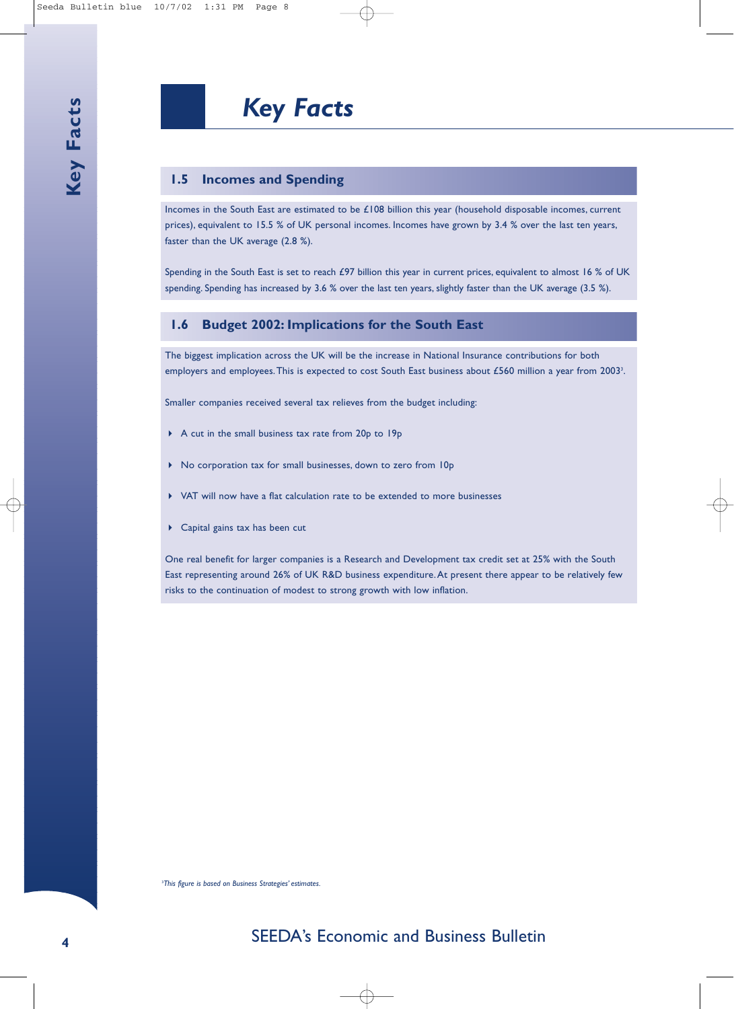#### **1.5 Incomes and Spending**

Incomes in the South East are estimated to be £108 billion this year (household disposable incomes, current prices), equivalent to 15.5 % of UK personal incomes. Incomes have grown by 3.4 % over the last ten years, faster than the UK average (2.8 %).

Spending in the South East is set to reach £97 billion this year in current prices, equivalent to almost 16 % of UK spending. Spending has increased by 3.6 % over the last ten years, slightly faster than the UK average (3.5 %).

#### **1.6 Budget 2002: Implications for the South East**

The biggest implication across the UK will be the increase in National Insurance contributions for both employers and employees. This is expected to cost South East business about £560 million a year from 2003<sup>3</sup>.

Smaller companies received several tax relieves from the budget including:

- A cut in the small business tax rate from 20p to 19p
- No corporation tax for small businesses, down to zero from 10p
- VAT will now have a flat calculation rate to be extended to more businesses
- Capital gains tax has been cut

One real benefit for larger companies is a Research and Development tax credit set at 25% with the South East representing around 26% of UK R&D business expenditure.At present there appear to be relatively few risks to the continuation of modest to strong growth with low inflation.

3 *This figure is based on Business Strategies' estimates.*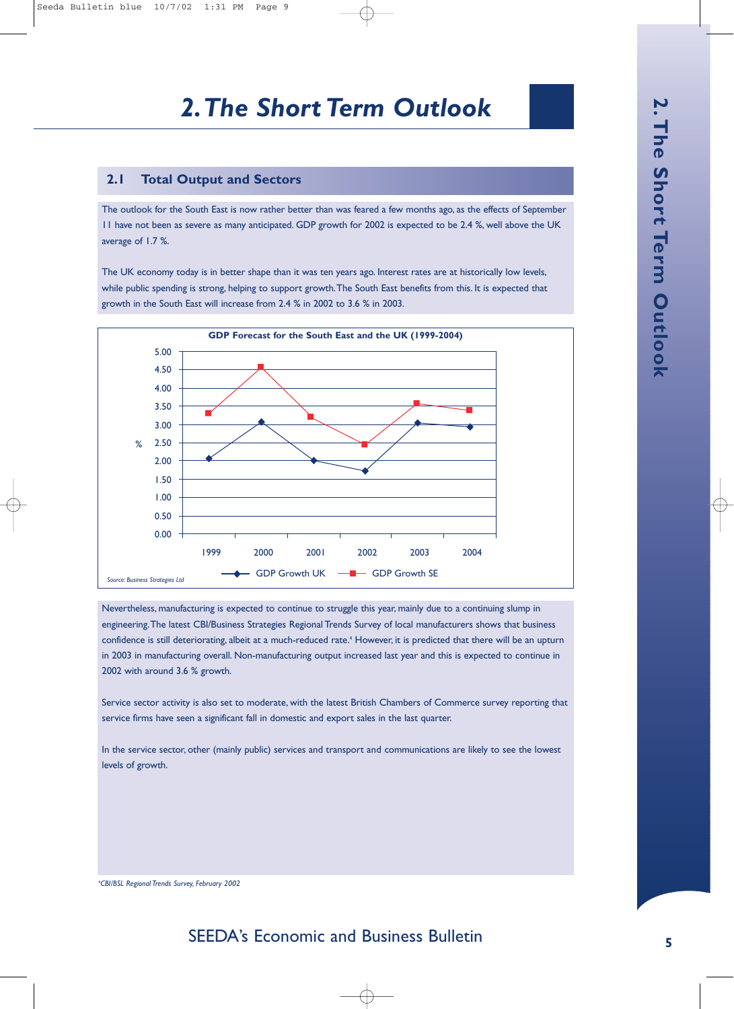#### **2.1 Total Output and Sectors**

The outlook for the South East is now rather better than was feared a few months ago, as the effects of September 11 have not been as severe as many anticipated. GDP growth for 2002 is expected to be 2.4 %, well above the UK average of 1.7 %.

The UK economy today is in better shape than it was ten years ago. Interest rates are at historically low levels, while public spending is strong, helping to support growth.The South East benefits from this. It is expected that growth in the South East will increase from 2.4 % in 2002 to 3.6 % in 2003.



Nevertheless, manufacturing is expected to continue to struggle this year, mainly due to a continuing slump in engineering.The latest CBI/Business Strategies Regional Trends Survey of local manufacturers shows that business confidence is still deteriorating, albeit at a much-reduced rate.<sup>4</sup> However, it is predicted that there will be an upturn in 2003 in manufacturing overall. Non-manufacturing output increased last year and this is expected to continue in 2002 with around 3.6 % growth.

Service sector activity is also set to moderate, with the latest British Chambers of Commerce survey reporting that service firms have seen a significant fall in domestic and export sales in the last quarter.

In the service sector, other (mainly public) services and transport and communications are likely to see the lowest levels of growth.

4 *CBI/BSL Regional Trends Survey, February 2002*

### SEEDA's Economic and Business Bulletin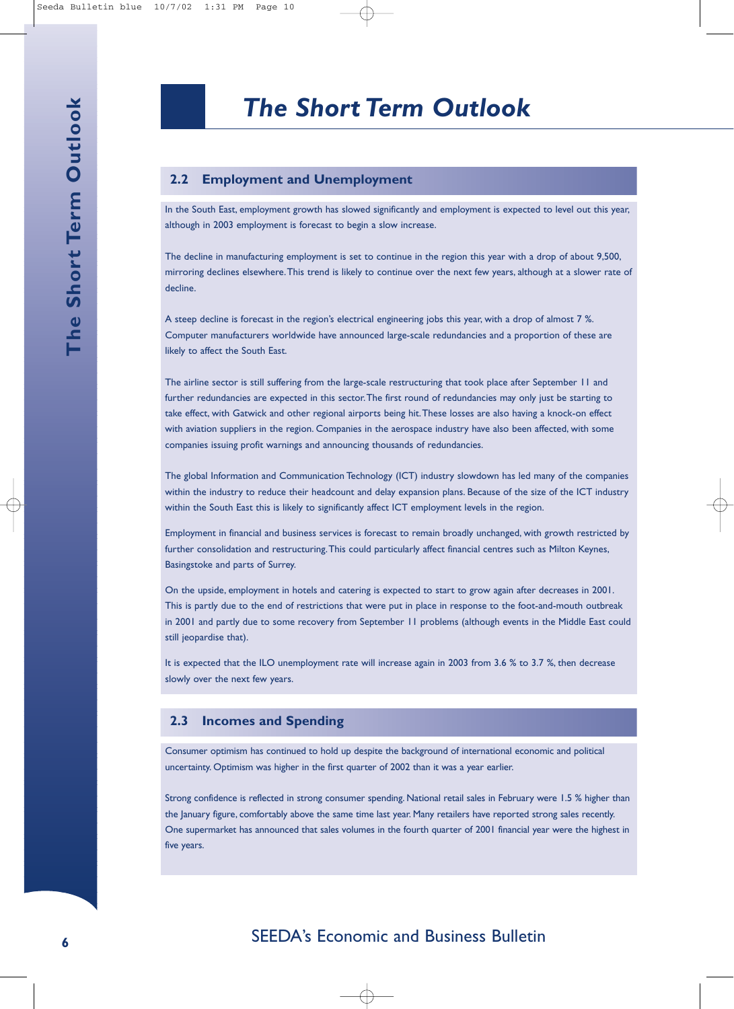#### **2.2 Employment and Unemployment**

In the South East, employment growth has slowed significantly and employment is expected to level out this year, although in 2003 employment is forecast to begin a slow increase.

The decline in manufacturing employment is set to continue in the region this year with a drop of about 9,500, mirroring declines elsewhere.This trend is likely to continue over the next few years, although at a slower rate of decline.

A steep decline is forecast in the region's electrical engineering jobs this year, with a drop of almost 7 %. Computer manufacturers worldwide have announced large-scale redundancies and a proportion of these are likely to affect the South East.

The airline sector is still suffering from the large-scale restructuring that took place after September 11 and further redundancies are expected in this sector.The first round of redundancies may only just be starting to take effect, with Gatwick and other regional airports being hit.These losses are also having a knock-on effect with aviation suppliers in the region. Companies in the aerospace industry have also been affected, with some companies issuing profit warnings and announcing thousands of redundancies.

The global Information and Communication Technology (ICT) industry slowdown has led many of the companies within the industry to reduce their headcount and delay expansion plans. Because of the size of the ICT industry within the South East this is likely to significantly affect ICT employment levels in the region.

Employment in financial and business services is forecast to remain broadly unchanged, with growth restricted by further consolidation and restructuring.This could particularly affect financial centres such as Milton Keynes, Basingstoke and parts of Surrey.

On the upside, employment in hotels and catering is expected to start to grow again after decreases in 2001. This is partly due to the end of restrictions that were put in place in response to the foot-and-mouth outbreak in 2001 and partly due to some recovery from September 11 problems (although events in the Middle East could still jeopardise that).

It is expected that the ILO unemployment rate will increase again in 2003 from 3.6 % to 3.7 %, then decrease slowly over the next few years.

#### **2.3 Incomes and Spending**

Consumer optimism has continued to hold up despite the background of international economic and political uncertainty. Optimism was higher in the first quarter of 2002 than it was a year earlier.

Strong confidence is reflected in strong consumer spending. National retail sales in February were 1.5 % higher than the January figure, comfortably above the same time last year. Many retailers have reported strong sales recently. One supermarket has announced that sales volumes in the fourth quarter of 2001 financial year were the highest in five years.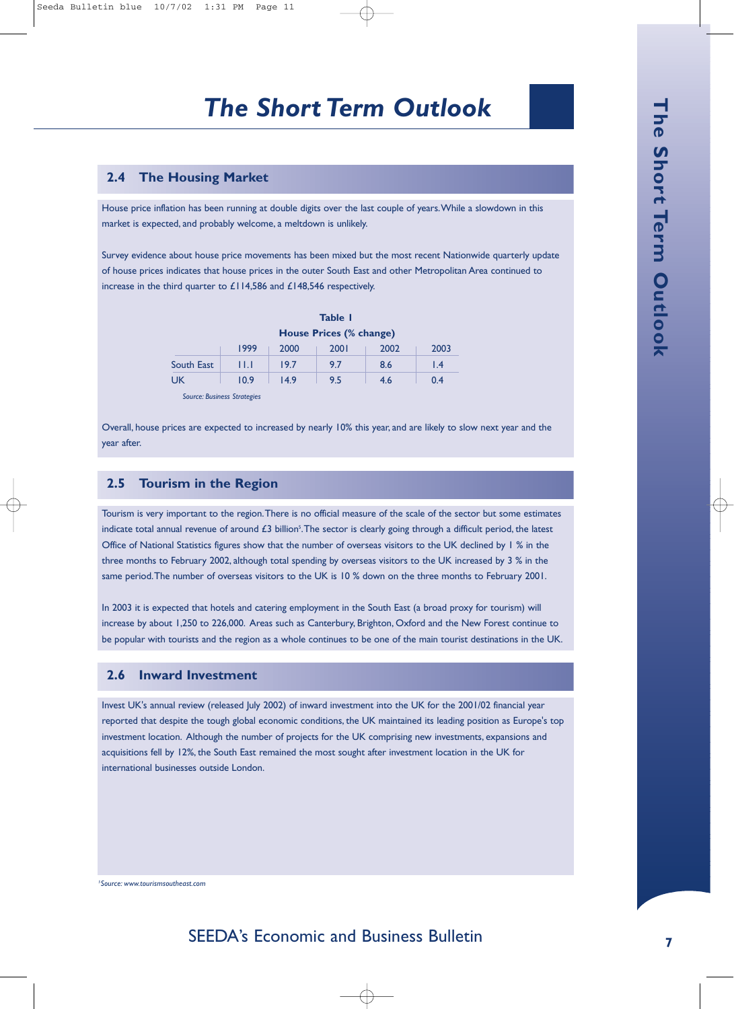#### **2.4 The Housing Market**

House price inflation has been running at double digits over the last couple of years.While a slowdown in this market is expected, and probably welcome, a meltdown is unlikely.

Survey evidence about house price movements has been mixed but the most recent Nationwide quarterly update of house prices indicates that house prices in the outer South East and other Metropolitan Area continued to increase in the third quarter to £114,586 and £148,546 respectively.

|            | Table 1                 |      |      |      |                 |  |
|------------|-------------------------|------|------|------|-----------------|--|
|            | House Prices (% change) |      |      |      |                 |  |
|            | 1999                    | 2000 | 2001 | 2002 | 2003            |  |
| South East | Ш                       | 19.7 | 9.7  | 8.6  | $\mathsf{I}$ .4 |  |
| UK         | 10.9                    | 149  | 9.5  | 4.6  | 0.4             |  |

*Source: Business Strategies*

Overall, house prices are expected to increased by nearly 10% this year, and are likely to slow next year and the year after.

#### **2.5 Tourism in the Region**

Tourism is very important to the region.There is no official measure of the scale of the sector but some estimates indicate total annual revenue of around £3 billion $^5$ . The sector is clearly going through a difficult period, the latest Office of National Statistics figures show that the number of overseas visitors to the UK declined by 1 % in the three months to February 2002, although total spending by overseas visitors to the UK increased by 3 % in the same period.The number of overseas visitors to the UK is 10 % down on the three months to February 2001.

In 2003 it is expected that hotels and catering employment in the South East (a broad proxy for tourism) will increase by about 1,250 to 226,000. Areas such as Canterbury, Brighton, Oxford and the New Forest continue to be popular with tourists and the region as a whole continues to be one of the main tourist destinations in the UK.

#### **2.6 Inward Investment**

Invest UK's annual review (released July 2002) of inward investment into the UK for the 2001/02 financial year reported that despite the tough global economic conditions, the UK maintained its leading position as Europe's top investment location. Although the number of projects for the UK comprising new investments, expansions and acquisitions fell by 12%, the South East remained the most sought after investment location in the UK for international businesses outside London.

*5 Source: www.tourismsoutheast.com*

## SEEDA's Economic and Business Bulletin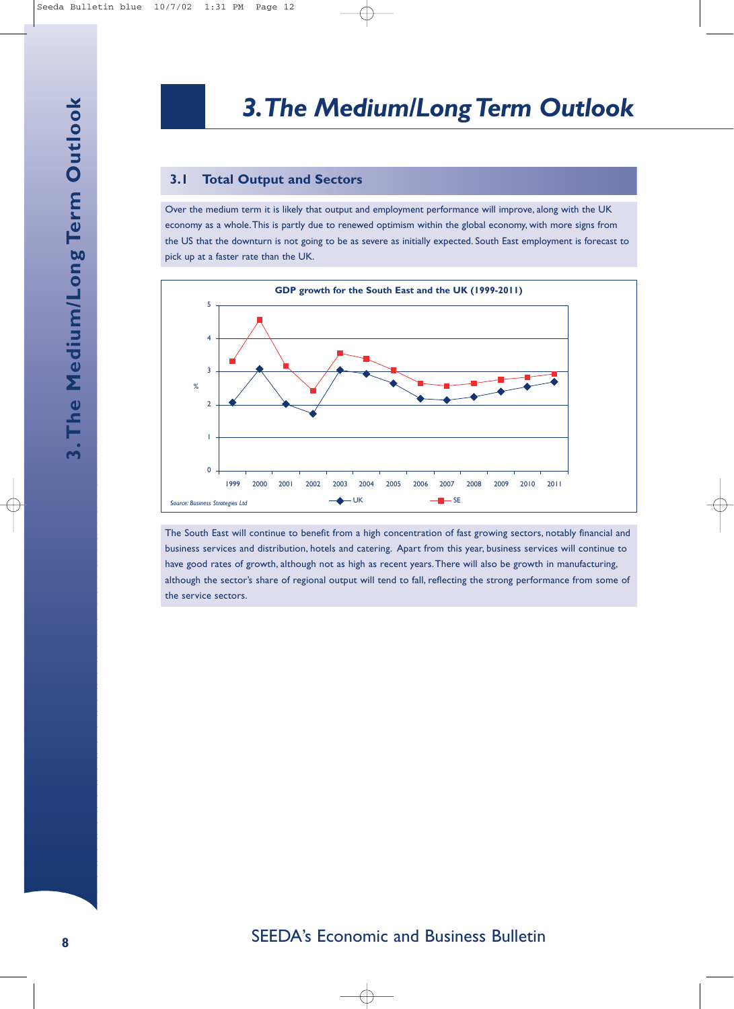#### **3.1 Total Output and Sectors**

Over the medium term it is likely that output and employment performance will improve, along with the UK economy as a whole.This is partly due to renewed optimism within the global economy, with more signs from the US that the downturn is not going to be as severe as initially expected. South East employment is forecast to pick up at a faster rate than the UK.



The South East will continue to benefit from a high concentration of fast growing sectors, notably financial and business services and distribution, hotels and catering. Apart from this year, business services will continue to have good rates of growth, although not as high as recent years.There will also be growth in manufacturing, although the sector's share of regional output will tend to fall, reflecting the strong performance from some of the service sectors.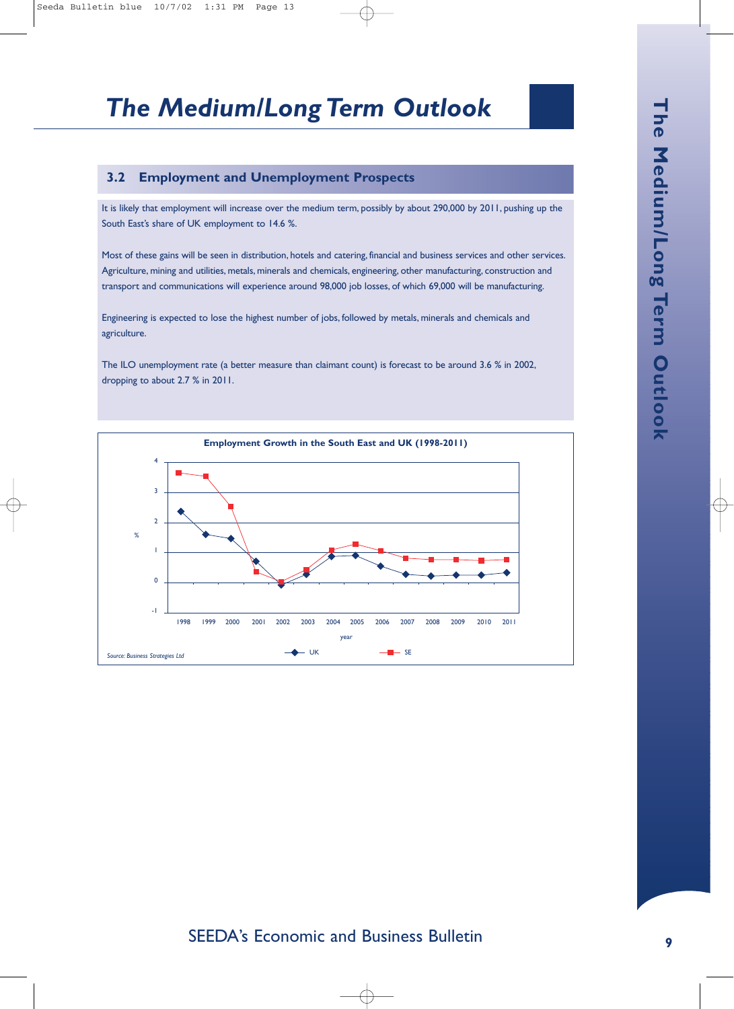## *The Medium/Long Term Outlook*

#### **3.2 Employment and Unemployment Prospects**

It is likely that employment will increase over the medium term, possibly by about 290,000 by 2011, pushing up the South East's share of UK employment to 14.6 %.

Most of these gains will be seen in distribution, hotels and catering, financial and business services and other services. Agriculture, mining and utilities, metals, minerals and chemicals, engineering, other manufacturing, construction and transport and communications will experience around 98,000 job losses, of which 69,000 will be manufacturing.

Engineering is expected to lose the highest number of jobs, followed by metals, minerals and chemicals and agriculture.

The ILO unemployment rate (a better measure than claimant count) is forecast to be around 3.6 % in 2002, dropping to about 2.7 % in 2011.